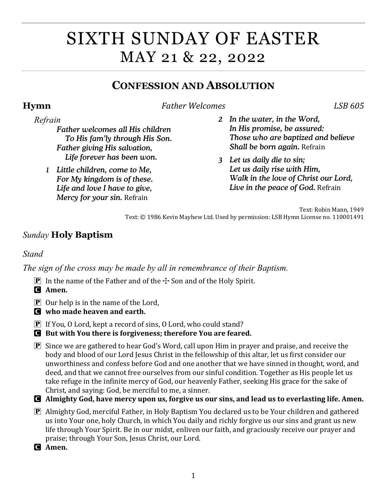# SIXTH SUNDAY OF EASTER MAY 21 & 22, 2022

# **CONFESSION AND ABSOLUTION**

**Hymn** *Father Welcomes LSB 605*

### *Refrain*

- *Father welcomes all His children To His fam'ly through His Son. Father giving His salvation, Life forever has been won.*
- *1 Little children, come to Me, For My kingdom is of these. Life and love I have to give, Mercy for your sin.* Refrain
- *2 In the water, in the Word, In His promise, be assured: Those who are baptized and believe Shall be born again.* Refrain
- *3 Let us daily die to sin; Let us daily rise with Him, Walk in the love of Christ our Lord, Live in the peace of God.* Refrain

Text: Robin Mann, 1949 Text: © 1986 Kevin Mayhew Ltd. Used by permission: LSB Hymn License no. 110001491

## *Sunday* **Holy Baptism**

### *Stand*

*The sign of the cross may be made by all in remembrance of their Baptism.*

- **P** In the name of the Father and of the  $\div$  Son and of the Holy Spirit.
- C **Amen.**
- $\bf{P}$  Our help is in the name of the Lord,
- C **who made heaven and earth.**
- $\boxed{\mathbf{P}}$  If You, O Lord, kept a record of sins, O Lord, who could stand?
- C **But with You there is forgiveness; therefore You are feared.**
- $\mathbf{P}$  Since we are gathered to hear God's Word, call upon Him in prayer and praise, and receive the body and blood of our Lord Jesus Christ in the fellowship of this altar, let us first consider our unworthiness and confess before God and one another that we have sinned in thought, word, and deed, and that we cannot free ourselves from our sinful condition. Together as His people let us take refuge in the infinite mercy of God, our heavenly Father, seeking His grace for the sake of Christ, and saying: God, be merciful to me, a sinner.
- C **Almighty God, have mercy upon us, forgive us our sins, and lead us to everlasting life. Amen.**
- **P** Almighty God, merciful Father, in Holy Baptism You declared us to be Your children and gathered us into Your one, holy Church, in which You daily and richly forgive us our sins and grant us new life through Your Spirit. Be in our midst, enliven our faith, and graciously receive our prayer and praise; through Your Son, Jesus Christ, our Lord.

C **Amen.**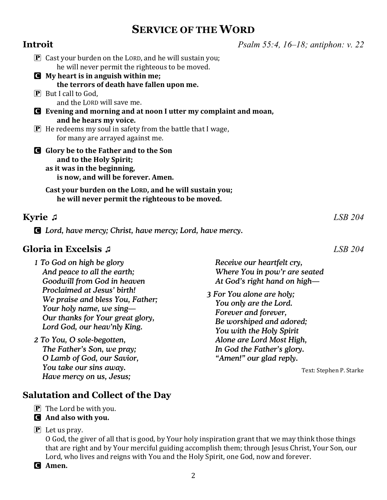# **SERVICE OF THE WORD**

| Introit                                                                                                                                              | <i>Psalm 55:4, 16–18; antiphon: v. 22</i>                                                               |
|------------------------------------------------------------------------------------------------------------------------------------------------------|---------------------------------------------------------------------------------------------------------|
| $\mathbf{P}$ Cast your burden on the LORD, and he will sustain you;<br>he will never permit the righteous to be moved.                               |                                                                                                         |
| My heart is in anguish within me;<br><b>C</b>                                                                                                        |                                                                                                         |
| the terrors of death have fallen upon me.<br>$\left[\mathbf{P}\right]$ But I call to God,<br>and the LORD will save me.                              |                                                                                                         |
| Evening and morning and at noon I utter my complaint and moan,                                                                                       |                                                                                                         |
| and he hears my voice.<br>$\mathbf{P}$ He redeems my soul in safety from the battle that I wage,<br>for many are arrayed against me.                 |                                                                                                         |
| Glory be to the Father and to the Son<br>$\mathbf C$<br>and to the Holy Spirit;<br>as it was in the beginning,<br>is now, and will be forever. Amen. |                                                                                                         |
| Cast your burden on the LORD, and he will sustain you;<br>he will never permit the righteous to be moved.                                            |                                                                                                         |
| <b>Kyrie</b> J                                                                                                                                       | $LSB$ 204                                                                                               |
| <b>C</b> Lord, have mercy; Christ, have mercy; Lord, have mercy.                                                                                     |                                                                                                         |
| Gloria in Excelsis .¤                                                                                                                                | LSB 204                                                                                                 |
| 1 To God on high be glory<br>And peace to all the earth;<br>Goodwill from God in heaven                                                              | Receive our heartfelt cry,<br>Where You in pow'r are seated<br>At God's right hand on high-             |
| Proclaimed at Jesus' birth!<br>We praise and bless You, Father;<br>Your holy name, we sing-<br>Our thanks for Your great glory,                      | 3 For You alone are holy;<br>You only are the Lord.<br>Forever and forever,<br>Re worshiped and adored. |

*2 To You, O sole-begotten, The Father's Son, we pray; O Lamb of God, our Savior, You take our sins away. Have mercy on us, Jesus;*

 *Lord God, our heav'nly King.* 

### **Salutation and Collect of the Day**

- $\mathbf{P}$  The Lord be with you.
- C **And also with you.**
- $\mathbf{P}$  Let us pray.

O God, the giver of all that is good, by Your holy inspiration grant that we may think those things that are right and by Your merciful guiding accomplish them; through Jesus Christ, Your Son, our Lord, who lives and reigns with You and the Holy Spirit, one God, now and forever.

C **Amen.**

 *Be worshiped and adored; You with the Holy Spirit Alone are Lord Most High, In God the Father's glory. "Amen!" our glad reply.*

Text: Stephen P. Starke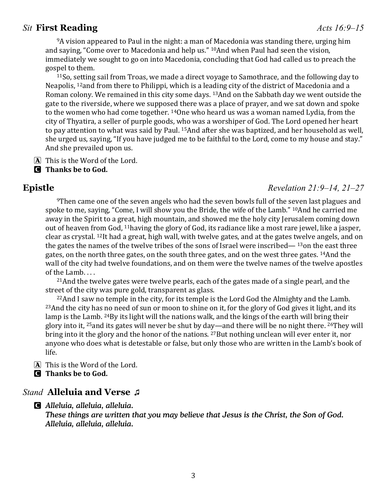### *Sit* **First Reading** *Acts 16:9–15*

9A vision appeared to Paul in the night: a man of Macedonia was standing there, urging him and saying, "Come over to Macedonia and help us." 10And when Paul had seen the vision, immediately we sought to go on into Macedonia, concluding that God had called us to preach the gospel to them.

11So, setting sail from Troas, we made a direct voyage to Samothrace, and the following day to Neapolis, 12and from there to Philippi, which is a leading city of the district of Macedonia and a Roman colony. We remained in this city some days. 13And on the Sabbath day we went outside the gate to the riverside, where we supposed there was a place of prayer, and we sat down and spoke to the women who had come together. 14One who heard us was a woman named Lydia, from the city of Thyatira, a seller of purple goods, who was a worshiper of God. The Lord opened her heart to pay attention to what was said by Paul. 15And after she was baptized, and her household as well, she urged us, saying, "If you have judged me to be faithful to the Lord, come to my house and stay." And she prevailed upon us.

- A This is the Word of the Lord.
- C **Thanks be to God.**

### **Epistle** *Revelation 21:9–14, 21–27*

<sup>9</sup>Then came one of the seven angels who had the seven bowls full of the seven last plagues and spoke to me, saying, "Come, I will show you the Bride, the wife of the Lamb." 10And he carried me away in the Spirit to a great, high mountain, and showed me the holy city Jerusalem coming down out of heaven from God, 11having the glory of God, its radiance like a most rare jewel, like a jasper, clear as crystal. 12It had a great, high wall, with twelve gates, and at the gates twelve angels, and on the gates the names of the twelve tribes of the sons of Israel were inscribed— 13on the east three gates, on the north three gates, on the south three gates, and on the west three gates. 14And the wall of the city had twelve foundations, and on them were the twelve names of the twelve apostles of the Lamb. . . .

<sup>21</sup> And the twelve gates were twelve pearls, each of the gates made of a single pearl, and the street of the city was pure gold, transparent as glass.

 $22$ And I saw no temple in the city, for its temple is the Lord God the Almighty and the Lamb. 23And the city has no need of sun or moon to shine on it, for the glory of God gives it light, and its lamp is the Lamb. <sup>24</sup>By its light will the nations walk, and the kings of the earth will bring their glory into it, 25and its gates will never be shut by day—and there will be no night there. 26They will bring into it the glory and the honor of the nations. 27But nothing unclean will ever enter it, nor anyone who does what is detestable or false, but only those who are written in the Lamb's book of life.

A This is the Word of the Lord.

C **Thanks be to God.**

### *Stand* **Alleluia and Verse ♫**

C *Alleluia, alleluia, alleluia.*

*These things are written that you may believe that Jesus is the Christ, the Son of God. Alleluia, alleluia, alleluia.*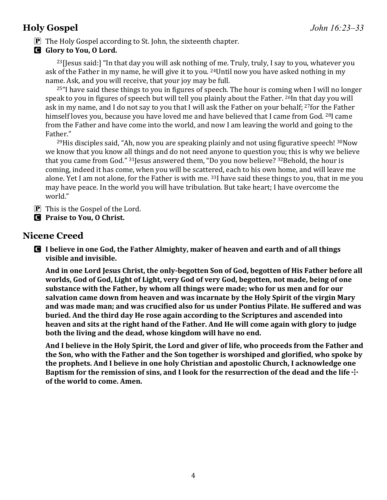## **Holy Gospel** *John 16:23–33*

- **P** The Holy Gospel according to St. John, the sixteenth chapter.
- C **Glory to You, O Lord.**

 $23$ [Jesus said:] "In that day you will ask nothing of me. Truly, truly, I say to you, whatever you ask of the Father in my name, he will give it to you. 24Until now you have asked nothing in my name. Ask, and you will receive, that your joy may be full.

 $25$ "I have said these things to you in figures of speech. The hour is coming when I will no longer speak to you in figures of speech but will tell you plainly about the Father. 26In that day you will ask in my name, and I do not say to you that I will ask the Father on your behalf; 27for the Father himself loves you, because you have loved me and have believed that I came from God. <sup>28</sup>I came from the Father and have come into the world, and now I am leaving the world and going to the Father."

 $^{29}$ His disciples said, "Ah, now you are speaking plainly and not using figurative speech!  $^{30}$ Now we know that you know all things and do not need anyone to question you; this is why we believe that you came from God." 31Jesus answered them, "Do you now believe? 32Behold, the hour is coming, indeed it has come, when you will be scattered, each to his own home, and will leave me alone. Yet I am not alone, for the Father is with me. 33I have said these things to you, that in me you may have peace. In the world you will have tribulation. But take heart; I have overcome the world."

- $\overline{P}$  This is the Gospel of the Lord.
- C **Praise to You, O Christ.**

### **Nicene Creed**

C **I believe in one God, the Father Almighty, maker of heaven and earth and of all things visible and invisible.** 

**And in one Lord Jesus Christ, the only-begotten Son of God, begotten of His Father before all worlds, God of God, Light of Light, very God of very God, begotten, not made, being of one substance with the Father, by whom all things were made; who for us men and for our salvation came down from heaven and was incarnate by the Holy Spirit of the virgin Mary and was made man; and was crucified also for us under Pontius Pilate. He suffered and was buried. And the third day He rose again according to the Scriptures and ascended into heaven and sits at the right hand of the Father. And He will come again with glory to judge both the living and the dead, whose kingdom will have no end.** 

**And I believe in the Holy Spirit, the Lord and giver of life, who proceeds from the Father and the Son, who with the Father and the Son together is worshiped and glorified, who spoke by the prophets. And I believe in one holy Christian and apostolic Church, I acknowledge one Baptism for the remission of sins, and I look for the resurrection of the dead and the life**  $\pm$ **of the world to come. Amen.**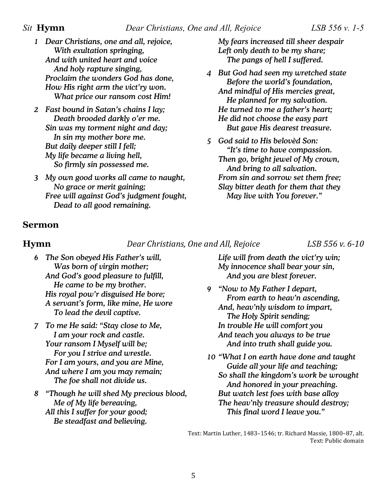- *1 Dear Christians, one and all, rejoice, With exultation springing, And with united heart and voice And holy rapture singing, Proclaim the wonders God has done, How His right arm the vict'ry won. What price our ransom cost Him!*
- *2 Fast bound in Satan's chains I lay; Death brooded darkly o'er me. Sin was my torment night and day; In sin my mother bore me. But daily deeper still I fell; My life became a living hell, So firmly sin possessed me.*
- *3 My own good works all came to naught, No grace or merit gaining; Free will against God's judgment fought, Dead to all good remaining.*

*My fears increased till sheer despair Left only death to be my share; The pangs of hell I suffered.*

- *4 But God had seen my wretched state Before the world's foundation, And mindful of His mercies great, He planned for my salvation. He turned to me a father's heart; He did not choose the easy part But gave His dearest treasure.*
- *5 God said to His belovèd Son: "It's time to have compassion. Then go, bright jewel of My crown, And bring to all salvation. From sin and sorrow set them free; Slay bitter death for them that they May live with You forever."*

### **Sermon**

**Hymn** *Dear Christians, One and All, Rejoice LSB 556 v. 6-10*

- *6 The Son obeyed His Father's will, Was born of virgin mother; And God's good pleasure to fulfill, He came to be my brother. His royal pow'r disguised He bore; A servant's form, like mine, He wore To lead the devil captive.*
- *7 To me He said: "Stay close to Me, I am your rock and castle. Your ransom I Myself will be; For you I strive and wrestle. For I am yours, and you are Mine, And where I am you may remain; The foe shall not divide us.*
- *8 "Though he will shed My precious blood, Me of My life bereaving, All this I suffer for your good; Be steadfast and believing.*

*Life will from death the vict'ry win; My innocence shall bear your sin, And you are blest forever.*

- *9 "Now to My Father I depart, From earth to heav'n ascending, And, heav'nly wisdom to impart, The Holy Spirit sending; In trouble He will comfort you And teach you always to be true And into truth shall guide you.*
- *10 "What I on earth have done and taught Guide all your life and teaching; So shall the kingdom's work be wrought And honored in your preaching. But watch lest foes with base alloy The heav'nly treasure should destroy; This final word I leave you."*

Text: Martin Luther, 1483–1546; tr. Richard Massie, 1800–87, alt. Text: Public domain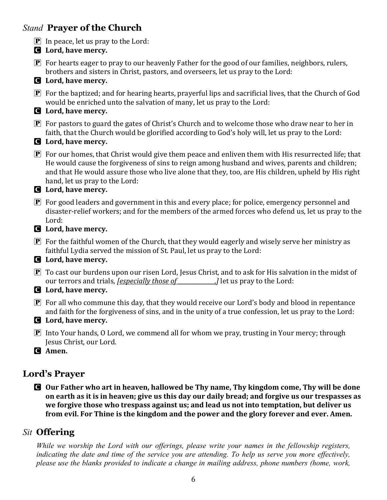### *Stand* **Prayer of the Church**

- $\boxed{\mathbf{P}}$  In peace, let us pray to the Lord:
- C **Lord, have mercy.**  $\boxed{\mathbf{P}}$  For hearts eager to pray to our heavenly Father for the good of our families, neighbors, rulers, brothers and sisters in Christ, pastors, and overseers, let us pray to the Lord: C **Lord, have mercy.**  $\mathbf P$  For the baptized; and for hearing hearts, prayerful lips and sacrificial lives, that the Church of God would be enriched unto the salvation of many, let us pray to the Lord: C **Lord, have mercy.**  $\mathbf{P}$  For pastors to guard the gates of Christ's Church and to welcome those who draw near to her in faith, that the Church would be glorified according to God's holy will, let us pray to the Lord: C **Lord, have mercy.**  $\bf{P}$  For our homes, that Christ would give them peace and enliven them with His resurrected life; that He would cause the forgiveness of sins to reign among husband and wives, parents and children; and that He would assure those who live alone that they, too, are His children, upheld by His right hand, let us pray to the Lord: C **Lord, have mercy.**  $\boxed{\mathbf{P}}$  For good leaders and government in this and every place; for police, emergency personnel and disaster-relief workers; and for the members of the armed forces who defend us, let us pray to the Lord: C **Lord, have mercy.**  $\mathbf{P}$  For the faithful women of the Church, that they would eagerly and wisely serve her ministry as faithful Lydia served the mission of St. Paul, let us pray to the Lord: C **Lord, have mercy.**  $\mathbf{P}$  To cast our burdens upon our risen Lord, Jesus Christ, and to ask for His salvation in the midst of our terrors and trials, *Jespecially those of* , J let us pray to the Lord: our terrors and trials, *<u>[especially those of</u>* C **Lord, have mercy.**  $\bf{P}$  For all who commune this day, that they would receive our Lord's body and blood in repentance and faith for the forgiveness of sins, and in the unity of a true confession, let us pray to the Lord: C **Lord, have mercy. P** Into Your hands, O Lord, we commend all for whom we pray, trusting in Your mercy; through Jesus Christ, our Lord. C **Amen.**

## **Lord's Prayer**

C **Our Father who art in heaven, hallowed be Thy name, Thy kingdom come, Thy will be done on earth as it is in heaven; give us this day our daily bread; and forgive us our trespasses as we forgive those who trespass against us; and lead us not into temptation, but deliver us from evil. For Thine is the kingdom and the power and the glory forever and ever. Amen.**

## *Sit* **Offering**

*While we worship the Lord with our offerings, please write your names in the fellowship registers, indicating the date and time of the service you are attending. To help us serve you more effectively, please use the blanks provided to indicate a change in mailing address, phone numbers (home, work,*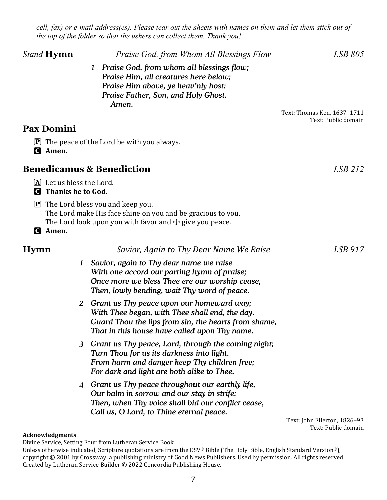*cell, fax) or e-mail address(es). Please tear out the sheets with names on them and let them stick out of the top of the folder so that the ushers can collect them. Thank you!*

| <i>Stand</i> <b>Hymn</b>                               | Praise God, from Whom All Blessings Flow                                                                                                                                                               | LSB 805                                             |
|--------------------------------------------------------|--------------------------------------------------------------------------------------------------------------------------------------------------------------------------------------------------------|-----------------------------------------------------|
|                                                        | Praise God, from whom all blessings flow;<br>$\bf{1}$<br>Praise Him, all creatures here below;<br>Praise Him above, ye heav'nly host:<br>Praise Father, Son, and Holy Ghost.                           |                                                     |
|                                                        | Amen.                                                                                                                                                                                                  | Text: Thomas Ken, 1637-1711<br>Text: Public domain  |
| <b>Pax Domini</b>                                      |                                                                                                                                                                                                        |                                                     |
| <b>G</b> Amen.                                         | $\mathbf{P}$ The peace of the Lord be with you always.                                                                                                                                                 |                                                     |
| <b>Benedicamus &amp; Benediction</b>                   |                                                                                                                                                                                                        | LSB 212                                             |
| A Let us bless the Lord.<br><b>Q</b> Thanks be to God. |                                                                                                                                                                                                        |                                                     |
| G Amen.                                                | $\mathbf{P}$ The Lord bless you and keep you.<br>The Lord make His face shine on you and be gracious to you.<br>The Lord look upon you with favor and $\pm$ give you peace.                            |                                                     |
| <b>Hymn</b>                                            | Savior, Again to Thy Dear Name We Raise                                                                                                                                                                | LSB 917                                             |
| $\bf{1}$                                               | Savior, again to Thy dear name we raise<br>With one accord our parting hymn of praise;<br>Once more we bless Thee ere our worship cease,<br>Then, lowly bending, wait Thy word of peace.               |                                                     |
|                                                        | 2 Grant us Thy peace upon our homeward way;<br>With Thee began, with Thee shall end, the day.<br>Guard Thou the lips from sin, the hearts from shame,<br>That in this house have called upon Thy name. |                                                     |
|                                                        | 3 Grant us Thy peace, Lord, through the coming night;<br>Turn Thou for us its darkness into light.<br>From harm and danger keep Thy children free;<br>For dark and light are both alike to Thee.       |                                                     |
|                                                        | 4 Grant us Thy peace throughout our earthly life,<br>Our balm in sorrow and our stay in strife;<br>Then, when Thy voice shall bid our conflict cease,<br>Call us, O Lord, to Thine eternal peace.      |                                                     |
|                                                        |                                                                                                                                                                                                        | Text: John Ellerton, 1826-93<br>Text: Public domain |

**Acknowledgments**

Divine Service, Setting Four from Lutheran Service Book

Unless otherwise indicated, Scripture quotations are from the ESV® Bible (The Holy Bible, English Standard Version®), copyright © 2001 by Crossway, a publishing ministry of Good News Publishers. Used by permission. All rights reserved. Created by Lutheran Service Builder © 2022 Concordia Publishing House.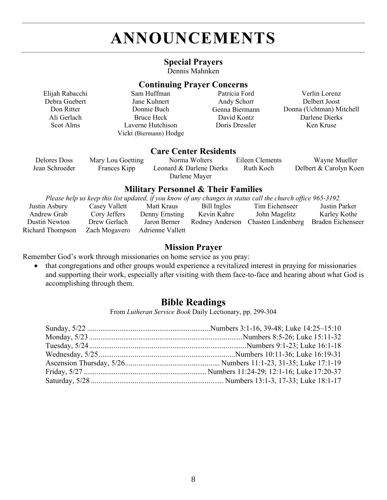# **ANNOUNCEMENTS**

### **Special Prayers**

Dennis Mahnken

### **Continuing Prayer Concerns**

| Elijah Rabacchi | Sam Huffman            | Patricia Ford  | Verlin Lorenz            |
|-----------------|------------------------|----------------|--------------------------|
| Debra Guebert   | Jane Kuhnert           | Andy Schorr    | Delbert Joost            |
| Don Ritter      | Donnie Buch            | Genna Biermann | Donna (Uchtman) Mitchell |
| Ali Gerlach     | Bruce Heck             | David Kontz    | Darlene Dierks           |
| Scot Alms       | Laverne Hutchison      | Doris Dressler | Ken Kruse                |
|                 | Vicki (Biermann) Hodge |                |                          |

### **Care Center Residents**

| Delores Doss   | Mary Lou Goetting | Norma Wolters            | Eileen Clements | Wayne Mueller          |
|----------------|-------------------|--------------------------|-----------------|------------------------|
| Jean Schroeder | Frances Kipp      | Leonard & Darlene Dierks | Ruth Koch       | Delbert & Carolyn Koen |
|                |                   | Darlene Mayer            |                 |                        |

### **Military Personnel & Their Families**

*Please help us keep this list updated, if you know of any changes in status call the church office 965-3192.* 

| Justin Asbury    | Casey Vallett | Matt Kraus                     | Bill Ingles | Tim Eichenseer                                       | Justin Parker |
|------------------|---------------|--------------------------------|-------------|------------------------------------------------------|---------------|
| Andrew Grab      | Cory Jeffers  | Denny Ernsting                 | Kevin Kahre | John Magelitz                                        | Karley Kothe  |
| Dustin Newton    | Drew Gerlach  | Jaron Berner                   |             | Rodney Anderson Chasten Lindenberg Braden Eichenseer |               |
| Richard Thompson |               | Zach Mogavero Adrienne Vallett |             |                                                      |               |

### **Mission Prayer**

Remember God's work through missionaries on home service as you pray:

• that congregations and other groups would experience a revitalized interest in praying for missionaries and supporting their work, especially after visiting with them face-to-face and hearing about what God is accomplishing through them.

### **Bible Readings**

From *Lutheran Service Book* Daily Lectionary, pp. 299-304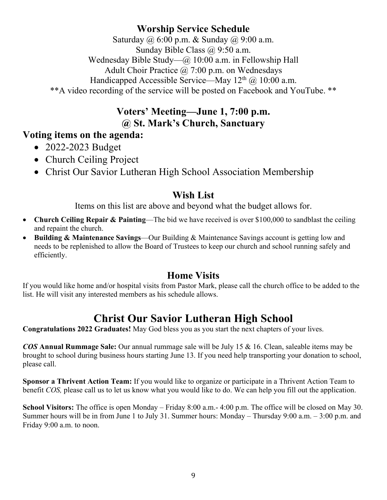## **Worship Service Schedule**

Saturday @ 6:00 p.m. & Sunday @ 9:00 a.m. Sunday Bible Class @ 9:50 a.m. Wednesday Bible Study—@ 10:00 a.m. in Fellowship Hall Adult Choir Practice @ 7:00 p.m. on Wednesdays Handicapped Accessible Service—May  $12<sup>th</sup>$  ( $\omega$ )  $10:00$  a.m.

\*\*A video recording of the service will be posted on Facebook and YouTube. \*\*

### **Voters' Meeting—June 1, 7:00 p.m. @ St. Mark's Church, Sanctuary**

### **Voting items on the agenda:**

- 2022-2023 Budget
- Church Ceiling Project
- Christ Our Savior Lutheran High School Association Membership

### **Wish List**

Items on this list are above and beyond what the budget allows for.

- **Church Ceiling Repair & Painting**—The bid we have received is over \$100,000 to sandblast the ceiling and repaint the church.
- **Building & Maintenance Savings**—Our Building & Maintenance Savings account is getting low and needs to be replenished to allow the Board of Trustees to keep our church and school running safely and efficiently.

## **Home Visits**

If you would like home and/or hospital visits from Pastor Mark, please call the church office to be added to the list. He will visit any interested members as his schedule allows.

# **Christ Our Savior Lutheran High School**

**Congratulations 2022 Graduates!** May God bless you as you start the next chapters of your lives.

*COS* **Annual Rummage Sale:** Our annual rummage sale will be July 15 & 16. Clean, saleable items may be brought to school during business hours starting June 13. If you need help transporting your donation to school, please call.

**Sponsor a Thrivent Action Team:** If you would like to organize or participate in a Thrivent Action Team to benefit *COS,* please call us to let us know what you would like to do. We can help you fill out the application.

**School Visitors:** The office is open Monday – Friday 8:00 a.m.- 4:00 p.m. The office will be closed on May 30. Summer hours will be in from June 1 to July 31. Summer hours: Monday – Thursday 9:00 a.m. – 3:00 p.m. and Friday 9:00 a.m. to noon.